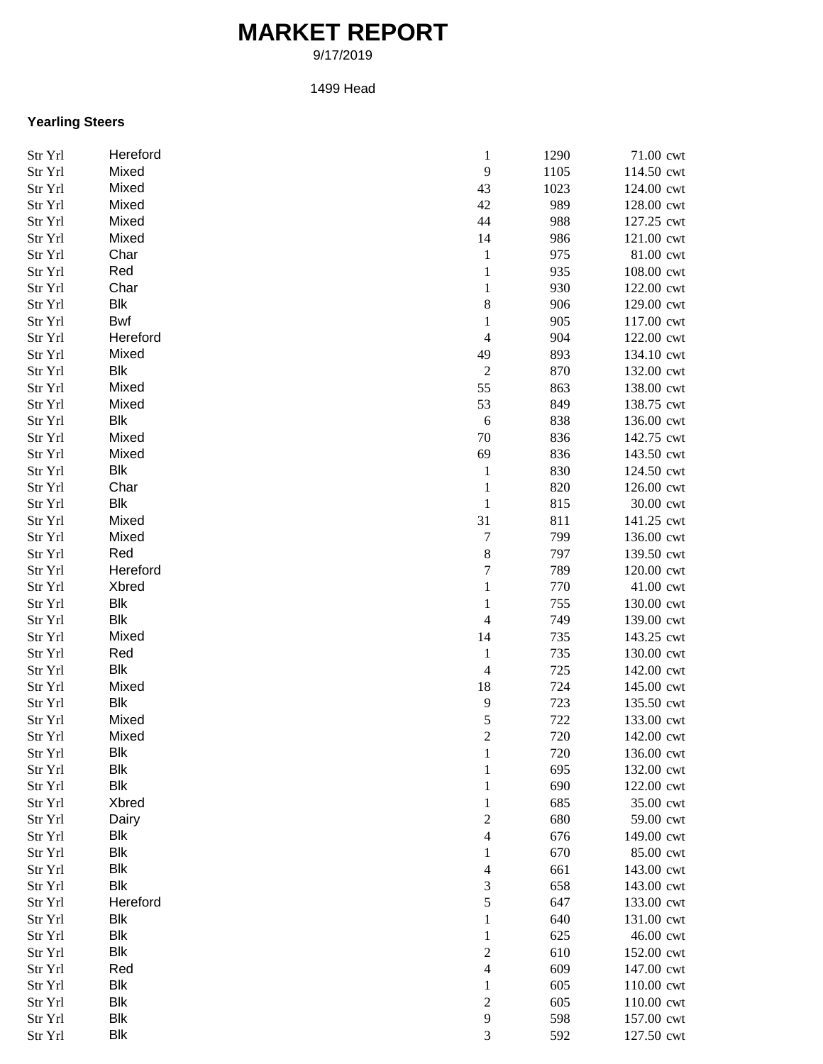## **MARKET REPORT**

9/17/2019

## 1499 Head

## **Yearling Steers**

| Str Yrl | Hereford   | $\mathbf{1}$             | 1290 | 71.00 cwt  |
|---------|------------|--------------------------|------|------------|
| Str Yrl | Mixed      | $\mathbf{9}$             | 1105 | 114.50 cwt |
| Str Yrl | Mixed      | 43                       | 1023 | 124.00 cwt |
| Str Yrl | Mixed      | 42                       | 989  | 128.00 cwt |
| Str Yrl | Mixed      | 44                       | 988  | 127.25 cwt |
| Str Yrl | Mixed      | 14                       | 986  | 121.00 cwt |
| Str Yrl | Char       | $\mathbf{1}$             | 975  | 81.00 cwt  |
| Str Yrl | Red        | $\mathbf{1}$             | 935  | 108.00 cwt |
| Str Yrl | Char       | $\mathbf{1}$             | 930  | 122.00 cwt |
| Str Yrl | <b>Blk</b> | 8                        | 906  | 129.00 cwt |
| Str Yrl | Bwf        | 1                        | 905  | 117.00 cwt |
| Str Yrl | Hereford   | $\overline{\mathcal{L}}$ | 904  | 122.00 cwt |
| Str Yrl | Mixed      | 49                       | 893  | 134.10 cwt |
| Str Yrl | <b>Blk</b> | $\sqrt{2}$               | 870  | 132.00 cwt |
| Str Yrl | Mixed      | 55                       | 863  | 138.00 cwt |
| Str Yrl | Mixed      | 53                       | 849  | 138.75 cwt |
| Str Yrl | Blk        | $\sqrt{6}$               | 838  | 136.00 cwt |
| Str Yrl | Mixed      | $70\,$                   | 836  | 142.75 cwt |
|         | Mixed      |                          |      | 143.50 cwt |
| Str Yrl |            | 69                       | 836  |            |
| Str Yrl | <b>Blk</b> | $\mathbf{1}$             | 830  | 124.50 cwt |
| Str Yrl | Char       | $\mathbf{1}$             | 820  | 126.00 cwt |
| Str Yrl | <b>Blk</b> | $\mathbf{1}$             | 815  | 30.00 cwt  |
| Str Yrl | Mixed      | 31                       | 811  | 141.25 cwt |
| Str Yrl | Mixed      | $\overline{7}$           | 799  | 136.00 cwt |
| Str Yrl | Red        | $8\,$                    | 797  | 139.50 cwt |
| Str Yrl | Hereford   | 7                        | 789  | 120.00 cwt |
| Str Yrl | Xbred      | $\mathbf{1}$             | 770  | 41.00 cwt  |
| Str Yrl | <b>Blk</b> | $\mathbf{1}$             | 755  | 130.00 cwt |
| Str Yrl | <b>Blk</b> | $\overline{\mathcal{L}}$ | 749  | 139.00 cwt |
| Str Yrl | Mixed      | 14                       | 735  | 143.25 cwt |
| Str Yrl | Red        | $\mathbf{1}$             | 735  | 130.00 cwt |
| Str Yrl | <b>Blk</b> | $\overline{4}$           | 725  | 142.00 cwt |
| Str Yrl | Mixed      | 18                       | 724  | 145.00 cwt |
| Str Yrl | Blk        | $\mathbf{9}$             | 723  | 135.50 cwt |
| Str Yrl | Mixed      | 5                        | 722  | 133.00 cwt |
| Str Yrl | Mixed      | $\overline{c}$           | 720  | 142.00 cwt |
| Str Yrl | <b>Blk</b> | $\mathbf{1}$             | 720  | 136.00 cwt |
| Str Yrl | <b>Blk</b> | 1                        | 695  | 132.00 cwt |
| Str Yrl | Blk        | 1                        | 690  | 122.00 cwt |
| Str Yrl | Xbred      | 1                        | 685  | 35.00 cwt  |
| Str Yrl | Dairy      | 2                        | 680  | 59.00 cwt  |
| Str Yrl | Blk        | 4                        | 676  | 149.00 cwt |
| Str Yrl | <b>Blk</b> | 1                        | 670  | 85.00 cwt  |
| Str Yrl | <b>Blk</b> | $\overline{4}$           | 661  | 143.00 cwt |
| Str Yrl | <b>Blk</b> | 3                        | 658  | 143.00 cwt |
| Str Yrl | Hereford   | 5                        | 647  | 133.00 cwt |
| Str Yrl | <b>Blk</b> | 1                        | 640  | 131.00 cwt |
| Str Yrl | <b>Blk</b> | $\mathbf{1}$             | 625  | 46.00 cwt  |
| Str Yrl | <b>Blk</b> | $\boldsymbol{2}$         | 610  | 152.00 cwt |
| Str Yrl | Red        | 4                        | 609  | 147.00 cwt |
| Str Yrl | <b>Blk</b> | $\mathbf{1}$             | 605  | 110.00 cwt |
| Str Yrl | <b>Blk</b> | $\boldsymbol{2}$         | 605  | 110.00 cwt |
| Str Yrl | <b>Blk</b> | $\mathbf{9}$             | 598  | 157.00 cwt |
| Str Yrl | Blk        | 3                        | 592  | 127.50 cwt |
|         |            |                          |      |            |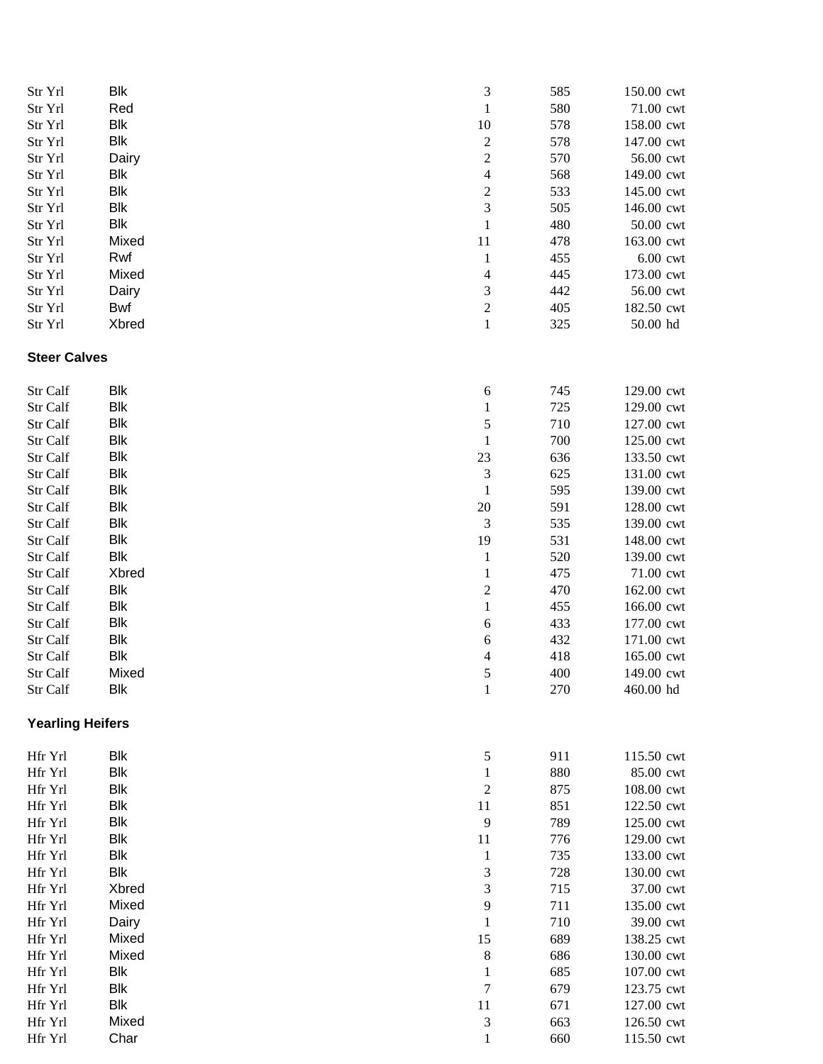| Str Yrl                 | Blk        | 3                        | 585 | 150.00 cwt   |
|-------------------------|------------|--------------------------|-----|--------------|
| Str Yrl                 | Red        | $\mathbf{1}$             | 580 | 71.00 cwt    |
| Str Yrl                 | Blk        | 10                       | 578 | 158.00 cwt   |
| Str Yrl                 | <b>Blk</b> | $\overline{c}$           | 578 | 147.00 cwt   |
| Str Yrl                 | Dairy      | $\overline{c}$           | 570 | 56.00 cwt    |
| Str Yrl                 | <b>Blk</b> | $\overline{\mathcal{L}}$ | 568 | 149.00 cwt   |
| Str Yrl                 | <b>Blk</b> | $\overline{\mathbf{c}}$  | 533 | 145.00 cwt   |
| Str Yrl                 | <b>Blk</b> | 3                        | 505 | 146.00 cwt   |
| Str Yrl                 | <b>Blk</b> | $\,1$                    | 480 | 50.00 cwt    |
| Str Yrl                 | Mixed      | $11\,$                   | 478 | 163.00 cwt   |
| Str Yrl                 | Rwf        | $\mathbf{1}$             | 455 | $6.00$ cwt   |
| Str Yrl                 | Mixed      | $\overline{\mathcal{L}}$ | 445 | 173.00 cwt   |
| Str Yrl                 | Dairy      | 3                        | 442 | 56.00 cwt    |
| Str Yrl                 | Bwf        | $\overline{c}$           | 405 | 182.50 cwt   |
| Str Yrl                 | Xbred      | $\,1$                    | 325 | $50.00$ $hd$ |
| <b>Steer Calves</b>     |            |                          |     |              |
| Str Calf                | Blk        | 6                        | 745 | 129.00 cwt   |
| Str Calf                | Blk        | $\mathbf{1}$             | 725 | 129.00 cwt   |
| Str Calf                | <b>Blk</b> | 5                        | 710 | 127.00 cwt   |
| Str Calf                | Blk        | $\mathbf{1}$             | 700 | 125.00 cwt   |
| Str Calf                | <b>Blk</b> | 23                       | 636 | 133.50 cwt   |
| Str Calf                | Blk        | 3                        | 625 | 131.00 cwt   |
| Str Calf                | <b>Blk</b> | $\,1$                    | 595 | 139.00 cwt   |
| Str Calf                | Blk        | 20                       | 591 | 128.00 cwt   |
| Str Calf                | <b>Blk</b> | 3                        | 535 | 139.00 cwt   |
| Str Calf                | Blk        | 19                       | 531 | 148.00 cwt   |
| Str Calf                | <b>Blk</b> | $\mathbf{1}$             | 520 | 139.00 cwt   |
| Str Calf                | Xbred      | $\mathbf{1}$             | 475 | 71.00 cwt    |
| Str Calf                | <b>Blk</b> | $\overline{\mathbf{c}}$  | 470 | 162.00 cwt   |
| Str Calf                | <b>Blk</b> | $\,1$                    | 455 | 166.00 cwt   |
| Str Calf                | <b>Blk</b> | 6                        | 433 | 177.00 cwt   |
| Str Calf                | <b>Blk</b> | 6                        | 432 | 171.00 cwt   |
| Str Calf                | Blk        | $\overline{\mathcal{L}}$ | 418 | 165.00 cwt   |
| Str Calf                | Mixed      | 5                        | 400 | 149.00 cwt   |
| Str Calf                | Blk        | $\mathbf{1}$             | 270 | 460.00 hd    |
| <b>Yearling Heifers</b> |            |                          |     |              |
| Hfr Yrl                 | <b>Blk</b> | 5                        | 911 | 115.50 cwt   |
| Hfr Yrl                 | <b>Blk</b> | $\mathbf{1}$             | 880 | 85.00 cwt    |
| Hfr Yrl                 | <b>Blk</b> | $\overline{c}$           | 875 | 108.00 cwt   |
| Hfr Yrl                 | Blk        | 11                       | 851 | 122.50 cwt   |
| Hfr Yrl                 | <b>Blk</b> | 9                        | 789 | 125.00 cwt   |
| Hfr Yrl                 | <b>Blk</b> | $11\,$                   | 776 | 129.00 cwt   |
| Hfr Yrl                 | <b>Blk</b> | $\mathbf{1}$             | 735 | 133.00 cwt   |
| Hfr Yrl                 | <b>Blk</b> | 3                        | 728 | 130.00 cwt   |
| Hfr Yrl                 | Xbred      | 3                        | 715 | 37.00 cwt    |
| Hfr Yrl                 | Mixed      | 9                        | 711 | 135.00 cwt   |
| Hfr Yrl                 | Dairy      | $\mathbf{1}$             | 710 | 39.00 cwt    |
| Hfr Yrl                 | Mixed      | 15                       | 689 | 138.25 cwt   |
| Hfr Yrl                 | Mixed      | 8                        | 686 | 130.00 cwt   |
| Hfr Yrl                 | <b>Blk</b> | $\mathbf{1}$             | 685 | 107.00 cwt   |
| Hfr Yrl                 | Blk        | 7                        | 679 | 123.75 cwt   |
| Hfr Yrl                 | Blk        | 11                       | 671 | 127.00 cwt   |
| Hfr Yrl                 | Mixed      | 3                        | 663 | 126.50 cwt   |
| Hfr Yrl                 | Char       | $\mathbf{1}$             | 660 | 115.50 cwt   |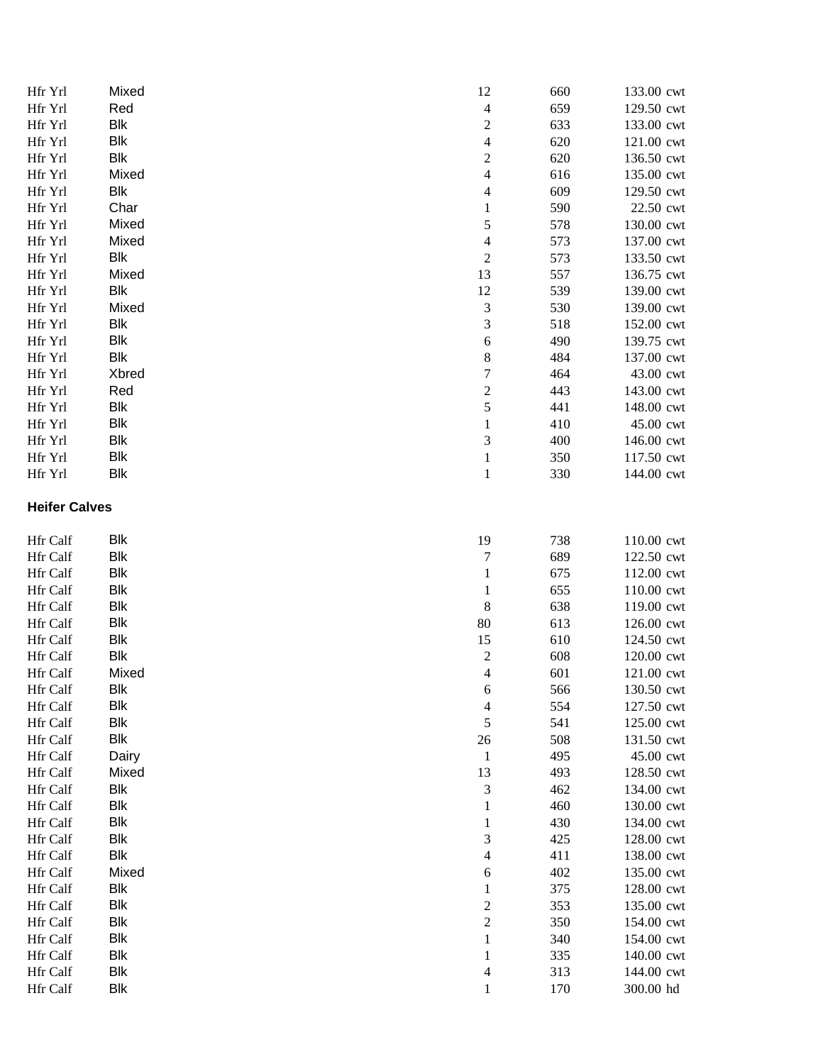| Hfr Yrl              | Mixed      | 12                                       | 660 | 133.00 cwt |
|----------------------|------------|------------------------------------------|-----|------------|
| Hfr Yrl              | Red        | $\overline{\mathbf{4}}$                  | 659 | 129.50 cwt |
| Hfr Yrl              | Blk        | $\boldsymbol{2}$                         | 633 | 133.00 cwt |
| Hfr Yrl              | Blk        | $\overline{\mathcal{L}}$                 | 620 | 121.00 cwt |
| Hfr Yrl              | <b>Blk</b> | $\boldsymbol{2}$                         | 620 | 136.50 cwt |
| Hfr Yrl              | Mixed      | $\overline{\mathcal{L}}$                 | 616 | 135.00 cwt |
| Hfr Yrl              | Blk        | $\overline{\mathcal{A}}$                 | 609 | 129.50 cwt |
| Hfr Yrl              | Char       | $\mathbf{1}$                             | 590 | 22.50 cwt  |
| Hfr Yrl              | Mixed      | 5                                        | 578 | 130.00 cwt |
| Hfr Yrl              | Mixed      | $\overline{\mathcal{A}}$                 | 573 | 137.00 cwt |
| Hfr Yrl              | Blk        | $\overline{c}$                           | 573 | 133.50 cwt |
| Hfr Yrl              | Mixed      | 13                                       | 557 | 136.75 cwt |
| Hfr Yrl              | Blk        | 12                                       | 539 | 139.00 cwt |
| Hfr Yrl              | Mixed      | $\mathfrak{Z}$                           | 530 | 139.00 cwt |
| Hfr Yrl              | Blk        | $\mathfrak{Z}$                           | 518 | 152.00 cwt |
| Hfr Yrl              | Blk        | 6                                        | 490 | 139.75 cwt |
| Hfr Yrl              | Blk        | 8                                        | 484 | 137.00 cwt |
| Hfr Yrl              | Xbred      | $\overline{7}$                           | 464 | 43.00 cwt  |
| Hfr Yrl              | Red        | $\sqrt{2}$                               | 443 | 143.00 cwt |
| Hfr Yrl              | Blk        | 5                                        | 441 | 148.00 cwt |
| Hfr Yrl              | Blk        | $\mathbf{1}$                             | 410 | 45.00 cwt  |
| Hfr Yrl              | Blk        | $\mathfrak{Z}$                           | 400 | 146.00 cwt |
| Hfr Yrl              | Blk        | $\,1\,$                                  | 350 | 117.50 cwt |
| Hfr Yrl              | Blk        | $\,1\,$                                  | 330 | 144.00 cwt |
| <b>Heifer Calves</b> |            |                                          |     |            |
| Hfr Calf             | Blk        | 19                                       | 738 | 110.00 cwt |
| Hfr Calf             | Blk        | $\overline{7}$                           | 689 | 122.50 cwt |
| Hfr Calf             | Blk        | $\mathbf{1}$                             | 675 | 112.00 cwt |
| Hfr Calf             | Blk        | $\mathbf{1}$                             | 655 | 110.00 cwt |
| Hfr Calf             | Blk        | 8                                        | 638 | 119.00 cwt |
| Hfr Calf             | Blk        | 80                                       | 613 | 126.00 cwt |
| Hfr Calf             | Blk        | 15                                       | 610 | 124.50 cwt |
| Hfr Calf             | <b>Blk</b> | $\boldsymbol{2}$                         | 608 | 120.00 cwt |
| Hfr Calf             | Mixed      | $\overline{4}$                           | 601 | 121.00 cwt |
| Hfr Calf             | Blk        | 6                                        | 566 | 130.50 cwt |
| Hfr Calf             | Blk        | $\overline{\mathcal{A}}$                 | 554 | 127.50 cwt |
| Hfr Calf             | Blk        | 5                                        | 541 | 125.00 cwt |
| Hfr Calf             | <b>Blk</b> | $26\,$                                   | 508 | 131.50 cwt |
| Hfr Calf             | Dairy      | $\mathbf{1}$                             | 495 | 45.00 cwt  |
| Hfr Calf             | Mixed      | 13                                       | 493 | 128.50 cwt |
| Hfr Calf             | Blk        | $\mathfrak{Z}$                           | 462 | 134.00 cwt |
| Hfr Calf             | Blk        | $\mathbf{1}$                             | 460 | 130.00 cwt |
| Hfr Calf             | Blk        | $\mathbf{1}$                             | 430 | 134.00 cwt |
| Hfr Calf             | Blk        | $\mathfrak{Z}$                           | 425 | 128.00 cwt |
| Hfr Calf             | Blk        | $\overline{\mathcal{L}}$                 | 411 | 138.00 cwt |
| Hfr Calf             | Mixed      | 6                                        | 402 | 135.00 cwt |
| Hfr Calf             | Blk        | $\mathbf{1}$                             | 375 | 128.00 cwt |
| Hfr Calf             | Blk        | $\overline{c}$                           | 353 | 135.00 cwt |
| Hfr Calf             | Blk        | $\overline{c}$                           | 350 | 154.00 cwt |
| Hfr Calf             | Blk        | $\mathbf 1$                              | 340 | 154.00 cwt |
| Hfr Calf             | Blk        | $\,1\,$                                  | 335 | 140.00 cwt |
| Hfr Calf             | Blk        |                                          | 313 | 144.00 cwt |
|                      | Blk        | $\overline{\mathcal{L}}$<br>$\mathbf{1}$ | 170 | 300.00 hd  |
| Hfr Calf             |            |                                          |     |            |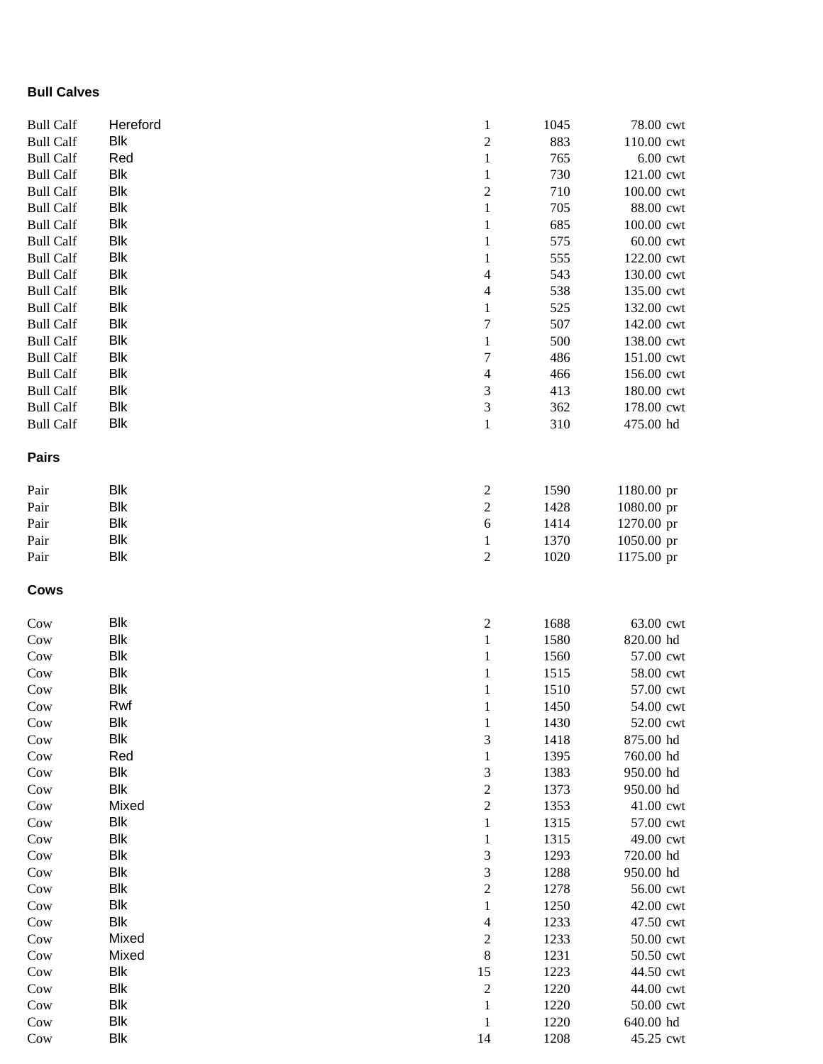## **Bull Calves**

| <b>Bull Calf</b> | Hereford   | $\mathbf{1}$             | 1045 | 78.00 cwt  |
|------------------|------------|--------------------------|------|------------|
| <b>Bull Calf</b> | <b>Blk</b> | $\sqrt{2}$               | 883  | 110.00 cwt |
| <b>Bull Calf</b> | Red        | $\mathbf{1}$             | 765  | $6.00$ cwt |
| <b>Bull Calf</b> | <b>Blk</b> | $\mathbf{1}$             | 730  | 121.00 cwt |
| <b>Bull Calf</b> | <b>Blk</b> | $\overline{c}$           | 710  | 100.00 cwt |
| <b>Bull Calf</b> | <b>Blk</b> | $\mathbf{1}$             | 705  | 88.00 cwt  |
| <b>Bull Calf</b> | <b>Blk</b> | $\mathbf 1$              | 685  | 100.00 cwt |
| <b>Bull Calf</b> | <b>Blk</b> | $\mathbf{1}$             | 575  | 60.00 cwt  |
| <b>Bull Calf</b> | <b>Blk</b> | $\mathbf{1}$             | 555  | 122.00 cwt |
| <b>Bull Calf</b> | <b>Blk</b> | $\overline{\mathcal{A}}$ | 543  | 130.00 cwt |
| <b>Bull Calf</b> | <b>Blk</b> | $\overline{4}$           | 538  | 135.00 cwt |
| <b>Bull Calf</b> | <b>Blk</b> | $\,1\,$                  | 525  | 132.00 cwt |
| <b>Bull Calf</b> | <b>Blk</b> | $\overline{7}$           | 507  | 142.00 cwt |
| <b>Bull Calf</b> | <b>Blk</b> | $\mathbf{1}$             | 500  | 138.00 cwt |
| <b>Bull Calf</b> | <b>Blk</b> | $\boldsymbol{7}$         | 486  | 151.00 cwt |
| <b>Bull Calf</b> | <b>Blk</b> | $\overline{4}$           | 466  | 156.00 cwt |
| <b>Bull Calf</b> | <b>Blk</b> | $\overline{3}$           | 413  | 180.00 cwt |
| <b>Bull Calf</b> | <b>Blk</b> | $\overline{3}$           | 362  | 178.00 cwt |
| <b>Bull Calf</b> | <b>Blk</b> | $\,1$                    | 310  | 475.00 hd  |
| <b>Pairs</b>     |            |                          |      |            |
| Pair             | <b>Blk</b> | $\boldsymbol{2}$         | 1590 | 1180.00 pr |
| Pair             | <b>Blk</b> | $\overline{2}$           | 1428 | 1080.00 pr |
| Pair             | <b>Blk</b> | $\sqrt{6}$               | 1414 | 1270.00 pr |
| Pair             | <b>Blk</b> | $\,1$                    | 1370 | 1050.00 pr |
| Pair             | <b>Blk</b> | $\sqrt{2}$               | 1020 | 1175.00 pr |
| <b>Cows</b>      |            |                          |      |            |
| Cow              | <b>Blk</b> | $\overline{\mathbf{c}}$  | 1688 | 63.00 cwt  |
| Cow              | <b>Blk</b> | $\,1$                    | 1580 | 820.00 hd  |
| Cow              | <b>Blk</b> | $\,1\,$                  | 1560 | 57.00 cwt  |
| Cow              | <b>Blk</b> | $\mathbf{1}$             | 1515 | 58.00 cwt  |
| Cow              | <b>Blk</b> | $\mathbf{1}$             | 1510 | 57.00 cwt  |
| Cow              | Rwf        | $\,1$                    | 1450 | 54.00 cwt  |
| Cow              | Blk        | $\mathbf{1}$             | 1430 | 52.00 cwt  |
| Cow              | <b>Blk</b> | 3                        | 1418 | 875.00 hd  |
| Cow              | Red        | $\mathbf{1}$             | 1395 | 760.00 hd  |
| Cow              | <b>Blk</b> | $\mathfrak{Z}$           | 1383 | 950.00 hd  |
| Cow              | <b>Blk</b> | $\sqrt{2}$               | 1373 | 950.00 hd  |
| Cow              | Mixed      | $\sqrt{2}$               | 1353 | 41.00 cwt  |
| Cow              | <b>Blk</b> | $\mathbf{1}$             | 1315 | 57.00 cwt  |
| Cow              | <b>Blk</b> | $\mathbf 1$              | 1315 | 49.00 cwt  |
| Cow              | <b>Blk</b> | $\mathfrak{Z}$           | 1293 | 720.00 hd  |
| Cow              | <b>Blk</b> | $\overline{3}$           | 1288 | 950.00 hd  |
| Cow              | <b>Blk</b> | $\overline{c}$           | 1278 | 56.00 cwt  |
| Cow              | <b>Blk</b> | $\,1$                    | 1250 | 42.00 cwt  |
| Cow              | <b>Blk</b> | $\overline{4}$           | 1233 | 47.50 cwt  |
| Cow              | Mixed      | $\sqrt{2}$               | 1233 | 50.00 cwt  |
| Cow              | Mixed      | $\,$ 8 $\,$              | 1231 | 50.50 cwt  |
| Cow              | <b>Blk</b> | 15                       | 1223 | 44.50 cwt  |
| Cow              | <b>Blk</b> | $\sqrt{2}$               | 1220 | 44.00 cwt  |
| Cow              | <b>Blk</b> | $\mathbf{1}$             | 1220 | 50.00 cwt  |
| Cow              | <b>Blk</b> | $\mathbf{1}$             | 1220 | 640.00 hd  |
| Cow              | <b>Blk</b> | 14                       | 1208 | 45.25 cwt  |
|                  |            |                          |      |            |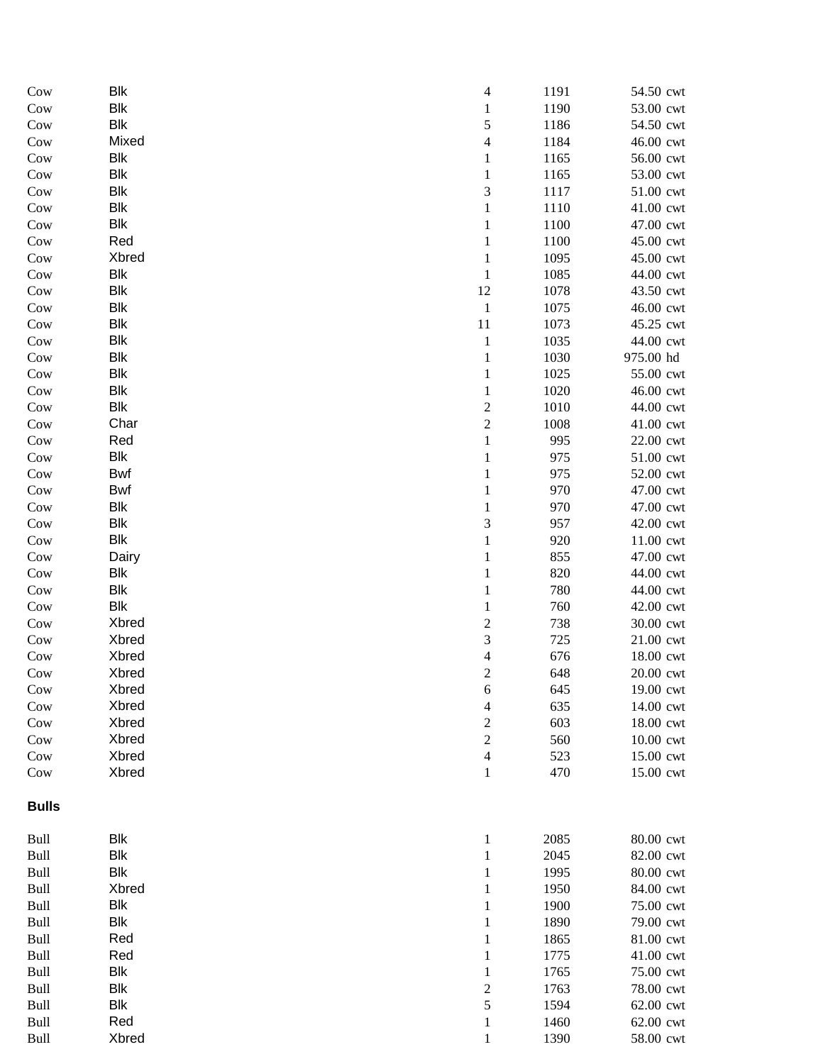| Cow          | <b>Blk</b> | $\overline{\mathcal{L}}$<br>1191 | 54.50 cwt |
|--------------|------------|----------------------------------|-----------|
| Cow          | <b>Blk</b> | $\mathbf{1}$<br>1190             | 53.00 cwt |
| Cow          | <b>Blk</b> | 5<br>1186                        | 54.50 cwt |
| Cow          | Mixed      | $\overline{4}$<br>1184           | 46.00 cwt |
| Cow          | <b>Blk</b> | $\mathbf{1}$<br>1165             | 56.00 cwt |
| Cow          | <b>Blk</b> | $\,1$<br>1165                    | 53.00 cwt |
| Cow          | <b>Blk</b> | 3<br>1117                        | 51.00 cwt |
| Cow          | <b>Blk</b> | $\,1$<br>1110                    | 41.00 cwt |
| Cow          | <b>Blk</b> | $\,1$<br>1100                    | 47.00 cwt |
| Cow          | Red        | $\,1$<br>1100                    | 45.00 cwt |
| Cow          | Xbred      | $\,1$<br>1095                    | 45.00 cwt |
| Cow          | <b>Blk</b> | $\,1$<br>1085                    | 44.00 cwt |
| Cow          | <b>Blk</b> | 12<br>1078                       | 43.50 cwt |
| Cow          | <b>Blk</b> | $\mathbf 1$<br>1075              | 46.00 cwt |
| Cow          | <b>Blk</b> | 11<br>1073                       | 45.25 cwt |
| Cow          | <b>Blk</b> | $\,1$<br>1035                    | 44.00 cwt |
| Cow          | <b>Blk</b> | $\mathbf 1$<br>1030              | 975.00 hd |
| Cow          | <b>Blk</b> | $\,1$<br>1025                    | 55.00 cwt |
| Cow          | <b>Blk</b> | $\,1$<br>1020                    | 46.00 cwt |
| Cow          | <b>Blk</b> | $\overline{\mathbf{c}}$<br>1010  | 44.00 cwt |
| Cow          | Char       | $\overline{c}$<br>1008           | 41.00 cwt |
| Cow          | Red        | $\,1$<br>995                     | 22.00 cwt |
| Cow          | <b>Blk</b> | $\,1$<br>975                     | 51.00 cwt |
| Cow          | Bwf        | 975<br>$\mathbf{1}$              | 52.00 cwt |
| Cow          | Bwf        | $\,1$<br>970                     | 47.00 cwt |
| Cow          | <b>Blk</b> | $\,1$<br>970                     | 47.00 cwt |
| Cow          | <b>Blk</b> | 3<br>957                         | 42.00 cwt |
| Cow          | <b>Blk</b> | $\mathbf{1}$<br>920              | 11.00 cwt |
| Cow          | Dairy      | $\mathbf{1}$<br>855              | 47.00 cwt |
| Cow          | <b>Blk</b> | $\mathbf{1}$<br>820              | 44.00 cwt |
| Cow          | <b>Blk</b> | $\mathbf 1$<br>780               | 44.00 cwt |
| Cow          | <b>Blk</b> | $\,1$<br>760                     | 42.00 cwt |
| Cow          | Xbred      | $\overline{c}$<br>738            | 30.00 cwt |
| Cow          | Xbred      | 3<br>725                         | 21.00 cwt |
| Cow          | Xbred      | $\overline{4}$<br>676            | 18.00 cwt |
| Cow          | Xbred      | $\overline{c}$<br>648            | 20.00 cwt |
| Cow          | Xbred      | 6<br>645                         | 19.00 cwt |
| Cow          | Xbred      | 635<br>$\overline{\mathcal{A}}$  | 14.00 cwt |
| Cow          | Xbred      | $\overline{\mathbf{c}}$<br>603   | 18.00 cwt |
| Cow          | Xbred      | $\overline{c}$<br>560            | 10.00 cwt |
| Cow          | Xbred      | $\overline{4}$<br>523            | 15.00 cwt |
| Cow          | Xbred      | 470<br>$\mathbf{1}$              | 15.00 cwt |
| <b>Bulls</b> |            |                                  |           |
| Bull         | <b>Blk</b> | $\mathbf{1}$<br>2085             | 80.00 cwt |
| Bull         | <b>Blk</b> | $\mathbf 1$<br>2045              | 82.00 cwt |
| Bull         | <b>Blk</b> | $\mathbf 1$<br>1995              | 80.00 cwt |
| Bull         | Xbred      | $\mathbf{1}$<br>1950             | 84.00 cwt |
| Bull         | <b>Blk</b> | 1900<br>$\mathbf{1}$             | 75.00 cwt |
| Bull         | <b>Blk</b> | 1890<br>$\mathbf{1}$             | 79.00 cwt |
| Bull         | Red        | $\mathbf{1}$<br>1865             | 81.00 cwt |
| Bull         | Red        | $\mathbf{1}$<br>1775             | 41.00 cwt |
| Bull         | <b>Blk</b> | $\,1$<br>1765                    | 75.00 cwt |
| Bull         | <b>Blk</b> | $\overline{\mathbf{c}}$<br>1763  | 78.00 cwt |
| Bull         | <b>Blk</b> | 5<br>1594                        | 62.00 cwt |
| Bull         | Red        | $\mathbf{1}$<br>1460             | 62.00 cwt |
| Bull         | Xbred      | 1390<br>$\mathbf{1}$             | 58.00 cwt |
|              |            |                                  |           |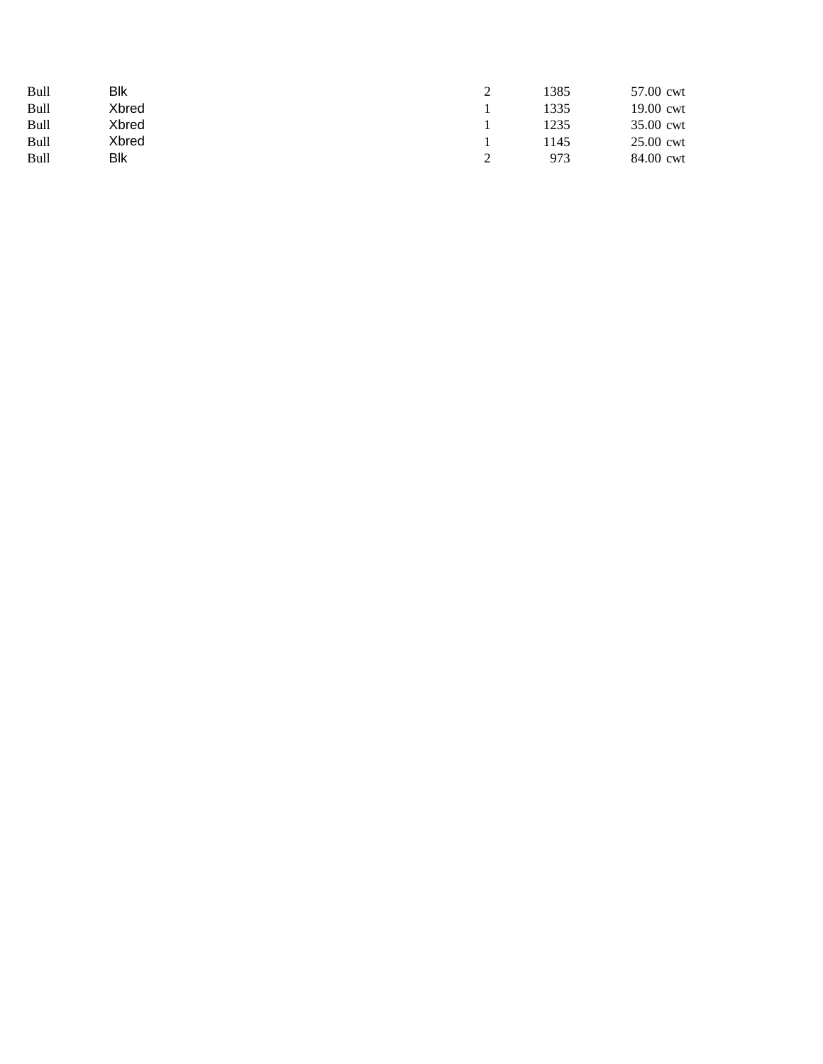| Bull | Blk   |  | 1385 | 57.00 cwt |
|------|-------|--|------|-----------|
| Bull | Xbred |  | 1335 | 19.00 cwt |
| Bull | Xbred |  | 1235 | 35.00 cwt |
| Bull | Xbred |  | 145  | 25.00 cwt |
| Bull | Blk   |  | 973  | 84.00 cwt |